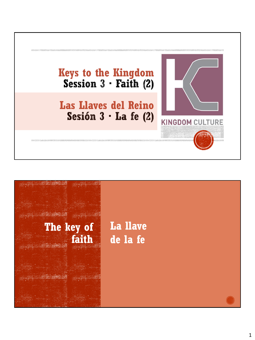

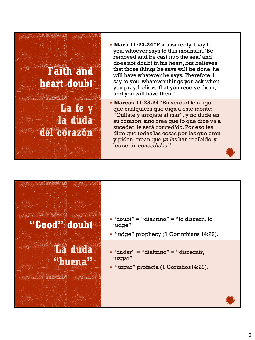

- **Mark 11:23-24**"For assuredly, I say to you, whoever says to this mountain, 'Be removed and be cast into the sea,' and does not doubt in his heart, but believes that those things he says will be done, he will have whatever he says. Therefore, I say to you, whatever things you ask when you pray, believe that you receive them, and you will have them."
- **Marcos 11:23-24**"En verdad les digo que cualquiera que diga a este monte: "Quítate y arrójate al mar", y no dude en su corazón, sino crea que lo que dice va a suceder, le será *concedido*. Por eso les digo que todas las cosas por las que oren y pidan, crean que *ya las* han recibido, y les serán *concedidas*."





- $\bullet$  "doubt" = "diakrino" = "to discern, to judge"
- "judge" prophecy (1 Corinthians 14:29).
- $\bullet$  "dudar" = "diakrino" = "discernir, juzgar"
- "juzgar" profecía (1 Corintios14:29).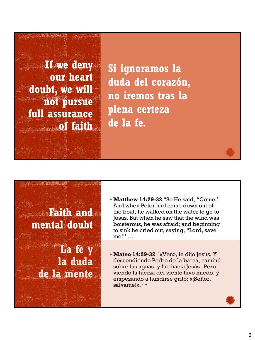**If we deny our heart doubt, we will not pursue full assurance of faith**

**Si ignoramos la duda del corazón, no iremos tras la plena certeza de la fe.**

**Faith and mental doubt**

> **La fe y la duda de la mente**

▪ **Matthew 14:29-32** "So He said, "Come." And when Peter had come down out of the boat, he walked on the water to go to Jesus. But when he saw that the wind was boisterous, he was afraid; and beginning to sink he cried out, saying, "Lord, save me!" …

▪ **Mateo 14:29-32 "**«Ven», le dijo Jesús. Y descendiendo Pedro de la barca, caminó sobre las aguas, y fue hacia Jesús. Pero viendo la fuerza del viento tuvo miedo, y empezando a hundirse gritó: «¡Señor, sálvame!». **….**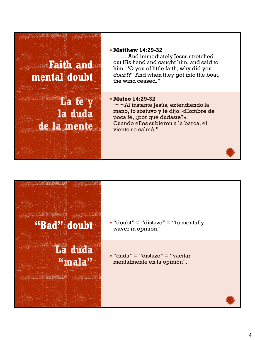# **Faith and mental doubt**

**La fe y la duda de la mente**

#### ▪ **Matthew 14:29-32**

……..And immediately Jesus stretched out His hand and caught him, and said to him, "O you of little faith, why did you *doubt*?" And when they got into the boat, the wind ceased."

### ▪ **Mateo 14:29-32**

**………**Al instante Jesús, extendiendo la mano, lo sostuvo y le dijo: «Hombre de poca fe, ¿por qué dudaste?». Cuando ellos subieron a la barca, el viento se calmó."

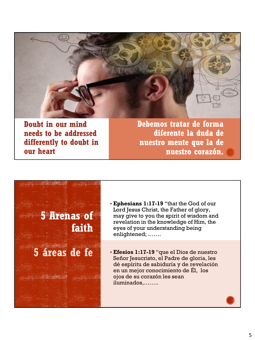

**Doubt in our mind needs to be addressed differently to doubt in our heart**

**Debemos tratar de forma diferente la duda de nuestro mente que la de nuestro corazón.**

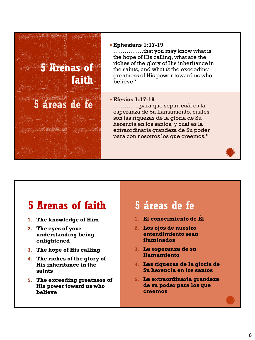

#### ▪ **Ephesians 1:17-19**

…………….that you may know what is the hope of His calling, what are the riches of the glory of His inheritance in the saints, and what *is* the exceeding greatness of His power toward us who believe"

#### ▪ **Efesios 1:17-19**

…………..para que sepan cuál es la esperanza de Su llamamiento, cuáles son las riquezas de la gloria de Su herencia en los santos, y cuál es la extraordinaria grandeza de Su poder para con nosotros los que creemos."

## **5 Arenas of faith**

- **1. The knowledge of Him**
- **2. The eyes of your understanding being enlightened**
- **3. The hope of His calling**
- **4. The riches of the glory of His inheritance in the saints**
- **5. The exceeding greatness of His power toward us who believe**

## **5 áreas de fe**

- **1. El conocimiento de Él**
- **2. Los ojos de nuestro entendimiento sean iluminados**
- **3. La esperanza de su llamamiento**
- **4. Las riquezas de la gloria de Su herencia en los santos**
- **5. La extraordinaria grandeza de su poder para los que creemos**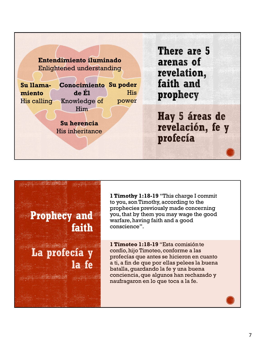| Entendimiento iluminado<br>Enlightened understanding               | There are 5<br>arenas of<br>revelation,        |
|--------------------------------------------------------------------|------------------------------------------------|
| <b>Conocimiento</b><br>Su poder<br>Su llama-                       | faith and                                      |
| de El<br><b>His</b><br>miento<br>His calling Knowledge of<br>power | prophecy                                       |
| Him<br>Su herencia<br><b>His inheritance</b>                       | Hay 5 áreas de<br>revelación, fe y<br>profecía |
|                                                                    |                                                |